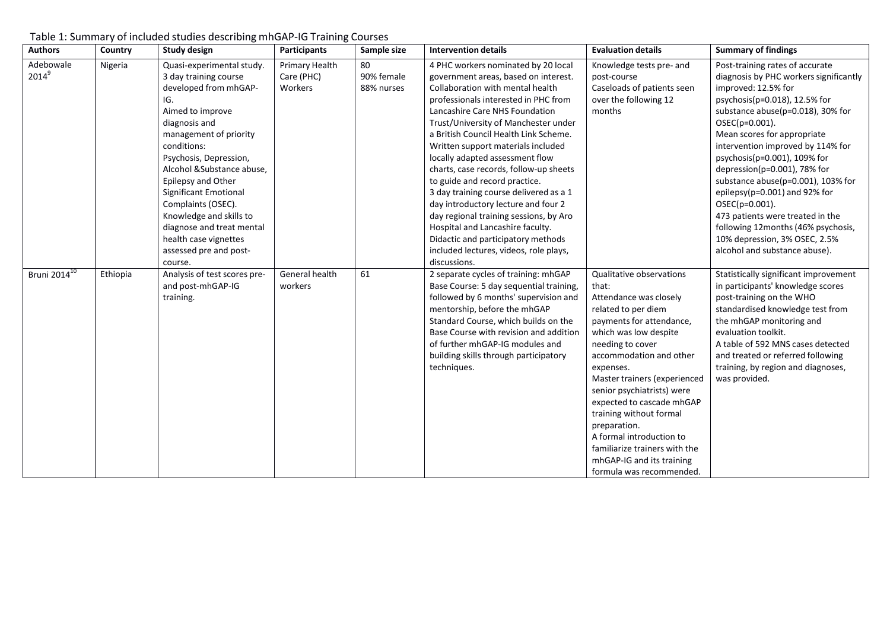Table 1: Summary of included studies describing mhGAP-IG Training Courses

| <b>Authors</b>           | Country  | <b>Study design</b>                                                                                                                                                                                                                                                                                                                                                                                                | Participants                            | Sample size                    | <b>Intervention details</b>                                                                                                                                                                                                                                                                                                                                                                                                                                                                                                                                                                                                                                                                   | <b>Evaluation details</b>                                                                                                                                                                                                                                                                                                                                                                                                                                       | <b>Summary of findings</b>                                                                                                                                                                                                                                                                                                                                                                                                                                                                                                                                            |
|--------------------------|----------|--------------------------------------------------------------------------------------------------------------------------------------------------------------------------------------------------------------------------------------------------------------------------------------------------------------------------------------------------------------------------------------------------------------------|-----------------------------------------|--------------------------------|-----------------------------------------------------------------------------------------------------------------------------------------------------------------------------------------------------------------------------------------------------------------------------------------------------------------------------------------------------------------------------------------------------------------------------------------------------------------------------------------------------------------------------------------------------------------------------------------------------------------------------------------------------------------------------------------------|-----------------------------------------------------------------------------------------------------------------------------------------------------------------------------------------------------------------------------------------------------------------------------------------------------------------------------------------------------------------------------------------------------------------------------------------------------------------|-----------------------------------------------------------------------------------------------------------------------------------------------------------------------------------------------------------------------------------------------------------------------------------------------------------------------------------------------------------------------------------------------------------------------------------------------------------------------------------------------------------------------------------------------------------------------|
| Adebowale<br>$2014^9$    | Nigeria  | Quasi-experimental study.<br>3 day training course<br>developed from mhGAP-<br>IG.<br>Aimed to improve<br>diagnosis and<br>management of priority<br>conditions:<br>Psychosis, Depression,<br>Alcohol &Substance abuse,<br>Epilepsy and Other<br>Significant Emotional<br>Complaints (OSEC).<br>Knowledge and skills to<br>diagnose and treat mental<br>health case vignettes<br>assessed pre and post-<br>course. | Primary Health<br>Care (PHC)<br>Workers | 80<br>90% female<br>88% nurses | 4 PHC workers nominated by 20 local<br>government areas, based on interest.<br>Collaboration with mental health<br>professionals interested in PHC from<br>Lancashire Care NHS Foundation<br>Trust/University of Manchester under<br>a British Council Health Link Scheme.<br>Written support materials included<br>locally adapted assessment flow<br>charts, case records, follow-up sheets<br>to guide and record practice.<br>3 day training course delivered as a 1<br>day introductory lecture and four 2<br>day regional training sessions, by Aro<br>Hospital and Lancashire faculty.<br>Didactic and participatory methods<br>included lectures, videos, role plays,<br>discussions. | Knowledge tests pre- and<br>post-course<br>Caseloads of patients seen<br>over the following 12<br>months                                                                                                                                                                                                                                                                                                                                                        | Post-training rates of accurate<br>diagnosis by PHC workers significantly<br>improved: 12.5% for<br>psychosis(p=0.018), 12.5% for<br>substance abuse(p=0.018), 30% for<br>OSEC(p=0.001).<br>Mean scores for appropriate<br>intervention improved by 114% for<br>psychosis(p=0.001), 109% for<br>depression(p=0.001), 78% for<br>substance abuse(p=0.001), 103% for<br>epilepsy( $p=0.001$ ) and 92% for<br>OSEC(p=0.001).<br>473 patients were treated in the<br>following 12months (46% psychosis,<br>10% depression, 3% OSEC, 2.5%<br>alcohol and substance abuse). |
| Bruni 2014 <sup>10</sup> | Ethiopia | Analysis of test scores pre-<br>and post-mhGAP-IG<br>training.                                                                                                                                                                                                                                                                                                                                                     | General health<br>workers               | 61                             | 2 separate cycles of training: mhGAP<br>Base Course: 5 day sequential training,<br>followed by 6 months' supervision and<br>mentorship, before the mhGAP<br>Standard Course, which builds on the<br>Base Course with revision and addition<br>of further mhGAP-IG modules and<br>building skills through participatory<br>techniques.                                                                                                                                                                                                                                                                                                                                                         | Qualitative observations<br>that:<br>Attendance was closely<br>related to per diem<br>payments for attendance,<br>which was low despite<br>needing to cover<br>accommodation and other<br>expenses.<br>Master trainers (experienced<br>senior psychiatrists) were<br>expected to cascade mhGAP<br>training without formal<br>preparation.<br>A formal introduction to<br>familiarize trainers with the<br>mhGAP-IG and its training<br>formula was recommended. | Statistically significant improvement<br>in participants' knowledge scores<br>post-training on the WHO<br>standardised knowledge test from<br>the mhGAP monitoring and<br>evaluation toolkit.<br>A table of 592 MNS cases detected<br>and treated or referred following<br>training, by region and diagnoses,<br>was provided.                                                                                                                                                                                                                                        |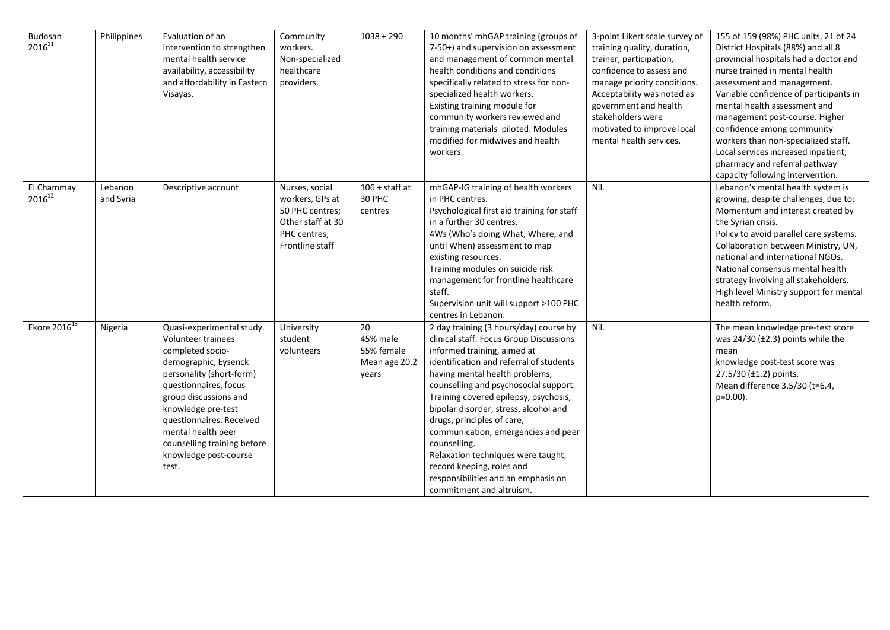| Budosan<br>$2016^{11}$    | Philippines          | Evaluation of an<br>intervention to strengthen<br>mental health service<br>availability, accessibility<br>and affordability in Eastern<br>Visayas.                                                                                                                                                                 | Community<br>workers.<br>Non-specialized<br>healthcare<br>providers.                                         | $1038 + 290$                                           | 10 months' mhGAP training (groups of<br>7-50+) and supervision on assessment<br>and management of common mental<br>health conditions and conditions<br>specifically related to stress for non-<br>specialized health workers.<br>Existing training module for<br>community workers reviewed and<br>training materials piloted. Modules<br>modified for midwives and health<br>workers.                                                                                                                                                              | 3-point Likert scale survey of<br>training quality, duration,<br>trainer, participation,<br>confidence to assess and<br>manage priority conditions.<br>Acceptability was noted as<br>government and health<br>stakeholders were<br>motivated to improve local<br>mental health services. | 155 of 159 (98%) PHC units, 21 of 24<br>District Hospitals (88%) and all 8<br>provincial hospitals had a doctor and<br>nurse trained in mental health<br>assessment and management.<br>Variable confidence of participants in<br>mental health assessment and<br>management post-course. Higher<br>confidence among community<br>workers than non-specialized staff.<br>Local services increased inpatient,<br>pharmacy and referral pathway<br>capacity following intervention. |
|---------------------------|----------------------|--------------------------------------------------------------------------------------------------------------------------------------------------------------------------------------------------------------------------------------------------------------------------------------------------------------------|--------------------------------------------------------------------------------------------------------------|--------------------------------------------------------|-----------------------------------------------------------------------------------------------------------------------------------------------------------------------------------------------------------------------------------------------------------------------------------------------------------------------------------------------------------------------------------------------------------------------------------------------------------------------------------------------------------------------------------------------------|------------------------------------------------------------------------------------------------------------------------------------------------------------------------------------------------------------------------------------------------------------------------------------------|----------------------------------------------------------------------------------------------------------------------------------------------------------------------------------------------------------------------------------------------------------------------------------------------------------------------------------------------------------------------------------------------------------------------------------------------------------------------------------|
| El Chammay<br>$2016^{12}$ | Lebanon<br>and Syria | Descriptive account                                                                                                                                                                                                                                                                                                | Nurses, social<br>workers, GPs at<br>50 PHC centres;<br>Other staff at 30<br>PHC centres;<br>Frontline staff | $106 +$ staff at<br>30 PHC<br>centres                  | mhGAP-IG training of health workers<br>in PHC centres.<br>Psychological first aid training for staff<br>in a further 30 centres.<br>4Ws (Who's doing What, Where, and<br>until When) assessment to map<br>existing resources.<br>Training modules on suicide risk<br>management for frontline healthcare<br>staff.<br>Supervision unit will support >100 PHC<br>centres in Lebanon.                                                                                                                                                                 | Nil.                                                                                                                                                                                                                                                                                     | Lebanon's mental health system is<br>growing, despite challenges, due to:<br>Momentum and interest created by<br>the Syrian crisis.<br>Policy to avoid parallel care systems.<br>Collaboration between Ministry, UN,<br>national and international NGOs.<br>National consensus mental health<br>strategy involving all stakeholders.<br>High level Ministry support for mental<br>health reform.                                                                                 |
| Ekore $2016^{13}$         | Nigeria              | Quasi-experimental study.<br>Volunteer trainees<br>completed socio-<br>demographic, Eysenck<br>personality (short-form)<br>questionnaires, focus<br>group discussions and<br>knowledge pre-test<br>questionnaires. Received<br>mental health peer<br>counselling training before<br>knowledge post-course<br>test. | University<br>student<br>volunteers                                                                          | 20<br>45% male<br>55% female<br>Mean age 20.2<br>years | 2 day training (3 hours/day) course by<br>clinical staff. Focus Group Discussions<br>informed training, aimed at<br>identification and referral of students<br>having mental health problems,<br>counselling and psychosocial support.<br>Training covered epilepsy, psychosis,<br>bipolar disorder, stress, alcohol and<br>drugs, principles of care,<br>communication, emergencies and peer<br>counselling.<br>Relaxation techniques were taught,<br>record keeping, roles and<br>responsibilities and an emphasis on<br>commitment and altruism. | Nil.                                                                                                                                                                                                                                                                                     | The mean knowledge pre-test score<br>was $24/30$ ( $\pm$ 2.3) points while the<br>mean<br>knowledge post-test score was<br>27.5/30 (±1.2) points.<br>Mean difference 3.5/30 (t=6.4,<br>p=0.00).                                                                                                                                                                                                                                                                                  |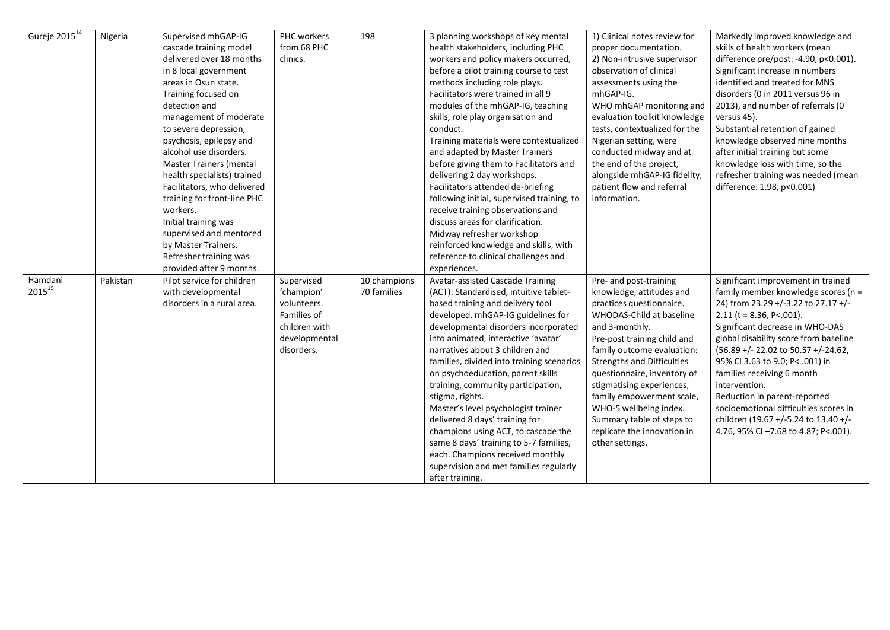| Gureje 2015 $\overline{^{14}}$ | Nigeria  | Supervised mhGAP-IG<br>cascade training model<br>delivered over 18 months<br>in 8 local government<br>areas in Osun state.<br>Training focused on<br>detection and<br>management of moderate<br>to severe depression,<br>psychosis, epilepsy and<br>alcohol use disorders.<br><b>Master Trainers (mental</b><br>health specialists) trained<br>Facilitators, who delivered<br>training for front-line PHC<br>workers.<br>Initial training was<br>supervised and mentored<br>by Master Trainers.<br>Refresher training was<br>provided after 9 months. | PHC workers<br>from 68 PHC<br>clinics.                                                                 | 198                         | 3 planning workshops of key mental<br>health stakeholders, including PHC<br>workers and policy makers occurred,<br>before a pilot training course to test<br>methods including role plays.<br>Facilitators were trained in all 9<br>modules of the mhGAP-IG, teaching<br>skills, role play organisation and<br>conduct.<br>Training materials were contextualized<br>and adapted by Master Trainers<br>before giving them to Facilitators and<br>delivering 2 day workshops.<br>Facilitators attended de-briefing<br>following initial, supervised training, to<br>receive training observations and<br>discuss areas for clarification.<br>Midway refresher workshop<br>reinforced knowledge and skills, with<br>reference to clinical challenges and<br>experiences. | 1) Clinical notes review for<br>proper documentation.<br>2) Non-intrusive supervisor<br>observation of clinical<br>assessments using the<br>mhGAP-IG.<br>WHO mhGAP monitoring and<br>evaluation toolkit knowledge<br>tests, contextualized for the<br>Nigerian setting, were<br>conducted midway and at<br>the end of the project,<br>alongside mhGAP-IG fidelity,<br>patient flow and referral<br>information.                  | Markedly improved knowledge and<br>skills of health workers (mean<br>difference pre/post: -4.90, p<0.001).<br>Significant increase in numbers<br>identified and treated for MNS<br>disorders (0 in 2011 versus 96 in<br>2013), and number of referrals (0<br>versus 45).<br>Substantial retention of gained<br>knowledge observed nine months<br>after initial training but some<br>knowledge loss with time, so the<br>refresher training was needed (mean<br>difference: 1.98, p<0.001)                    |
|--------------------------------|----------|-------------------------------------------------------------------------------------------------------------------------------------------------------------------------------------------------------------------------------------------------------------------------------------------------------------------------------------------------------------------------------------------------------------------------------------------------------------------------------------------------------------------------------------------------------|--------------------------------------------------------------------------------------------------------|-----------------------------|------------------------------------------------------------------------------------------------------------------------------------------------------------------------------------------------------------------------------------------------------------------------------------------------------------------------------------------------------------------------------------------------------------------------------------------------------------------------------------------------------------------------------------------------------------------------------------------------------------------------------------------------------------------------------------------------------------------------------------------------------------------------|----------------------------------------------------------------------------------------------------------------------------------------------------------------------------------------------------------------------------------------------------------------------------------------------------------------------------------------------------------------------------------------------------------------------------------|--------------------------------------------------------------------------------------------------------------------------------------------------------------------------------------------------------------------------------------------------------------------------------------------------------------------------------------------------------------------------------------------------------------------------------------------------------------------------------------------------------------|
| Hamdani<br>201515              | Pakistan | Pilot service for children<br>with developmental<br>disorders in a rural area.                                                                                                                                                                                                                                                                                                                                                                                                                                                                        | Supervised<br>'champion'<br>volunteers.<br>Families of<br>children with<br>developmental<br>disorders. | 10 champions<br>70 families | <b>Avatar-assisted Cascade Training</b><br>(ACT): Standardised, intuitive tablet-<br>based training and delivery tool<br>developed. mhGAP-IG guidelines for<br>developmental disorders incorporated<br>into animated, interactive 'avatar'<br>narratives about 3 children and<br>families, divided into training scenarios<br>on psychoeducation, parent skills<br>training, community participation,<br>stigma, rights.<br>Master's level psychologist trainer<br>delivered 8 days' training for<br>champions using ACT, to cascade the<br>same 8 days' training to 5-7 families,<br>each. Champions received monthly<br>supervision and met families regularly<br>after training.                                                                                    | Pre- and post-training<br>knowledge, attitudes and<br>practices questionnaire.<br>WHODAS-Child at baseline<br>and 3-monthly.<br>Pre-post training child and<br>family outcome evaluation:<br><b>Strengths and Difficulties</b><br>questionnaire, inventory of<br>stigmatising experiences,<br>family empowerment scale,<br>WHO-5 wellbeing index.<br>Summary table of steps to<br>replicate the innovation in<br>other settings. | Significant improvement in trained<br>family member knowledge scores (n =<br>24) from 23.29 +/-3.22 to 27.17 +/-<br>$2.11$ (t = 8.36, P<.001).<br>Significant decrease in WHO-DAS<br>global disability score from baseline<br>(56.89 +/- 22.02 to 50.57 +/-24.62,<br>95% CI 3.63 to 9.0; P< .001) in<br>families receiving 6 month<br>intervention.<br>Reduction in parent-reported<br>socioemotional difficulties scores in<br>children (19.67 +/-5.24 to 13.40 +/-<br>4.76, 95% CI -7.68 to 4.87; P<.001). |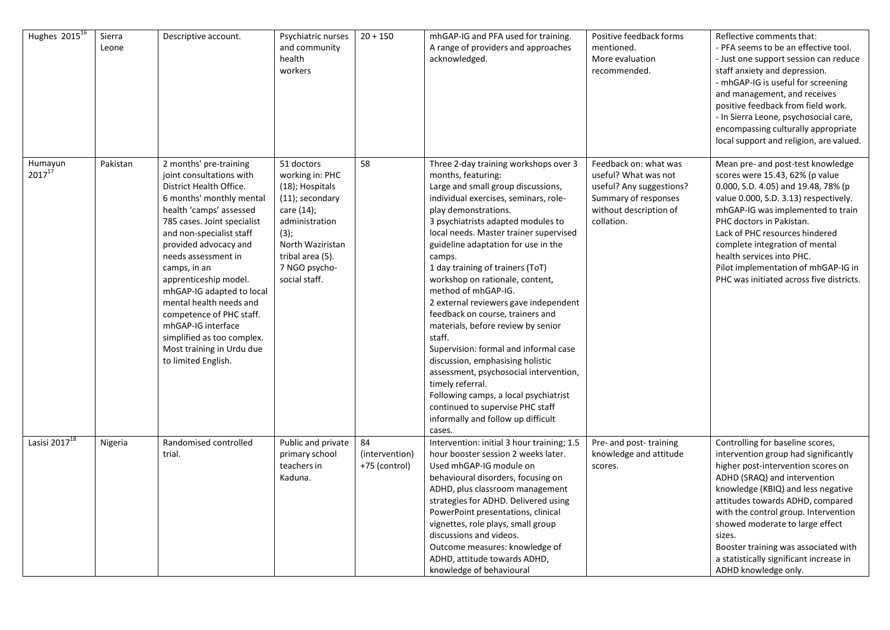| Hughes 2015 <sup>16</sup> | Sierra<br>Leone | Descriptive account.                                                                                                                                                                                                                                                                                                                                                                                                                                                                 | Psychiatric nurses<br>and community<br>health<br>workers                                                                                                                                 | $20 + 150$                            | mhGAP-IG and PFA used for training.<br>A range of providers and approaches<br>acknowledged.                                                                                                                                                                                                                                                                                                                                                                                                                                                                                                                                                                                                                                                                                                            | Positive feedback forms<br>mentioned.<br>More evaluation<br>recommended.                                                                  | Reflective comments that:<br>- PFA seems to be an effective tool.<br>- Just one support session can reduce<br>staff anxiety and depression.<br>- mhGAP-IG is useful for screening<br>and management, and receives<br>positive feedback from field work.<br>- In Sierra Leone, psychosocial care,<br>encompassing culturally appropriate<br>local support and religion, are valued.                                       |
|---------------------------|-----------------|--------------------------------------------------------------------------------------------------------------------------------------------------------------------------------------------------------------------------------------------------------------------------------------------------------------------------------------------------------------------------------------------------------------------------------------------------------------------------------------|------------------------------------------------------------------------------------------------------------------------------------------------------------------------------------------|---------------------------------------|--------------------------------------------------------------------------------------------------------------------------------------------------------------------------------------------------------------------------------------------------------------------------------------------------------------------------------------------------------------------------------------------------------------------------------------------------------------------------------------------------------------------------------------------------------------------------------------------------------------------------------------------------------------------------------------------------------------------------------------------------------------------------------------------------------|-------------------------------------------------------------------------------------------------------------------------------------------|--------------------------------------------------------------------------------------------------------------------------------------------------------------------------------------------------------------------------------------------------------------------------------------------------------------------------------------------------------------------------------------------------------------------------|
| Humayun<br>$2017^{17}$    | Pakistan        | 2 months' pre-training<br>joint consultations with<br>District Health Office.<br>6 months' monthly mental<br>health 'camps' assessed<br>785 cases. Joint specialist<br>and non-specialist staff<br>provided advocacy and<br>needs assessment in<br>camps, in an<br>apprenticeship model.<br>mhGAP-IG adapted to local<br>mental health needs and<br>competence of PHC staff.<br>mhGAP-IG interface<br>simplified as too complex.<br>Most training in Urdu due<br>to limited English. | 51 doctors<br>working in: PHC<br>(18); Hospitals<br>$(11)$ ; secondary<br>care (14);<br>administration<br>(3);<br>North Waziristan<br>tribal area (5).<br>7 NGO psycho-<br>social staff. | 58                                    | Three 2-day training workshops over 3<br>months, featuring:<br>Large and small group discussions,<br>individual exercises, seminars, role-<br>play demonstrations.<br>3 psychiatrists adapted modules to<br>local needs. Master trainer supervised<br>guideline adaptation for use in the<br>camps.<br>1 day training of trainers (ToT)<br>workshop on rationale, content,<br>method of mhGAP-IG.<br>2 external reviewers gave independent<br>feedback on course, trainers and<br>materials, before review by senior<br>staff.<br>Supervision: formal and informal case<br>discussion, emphasising holistic<br>assessment, psychosocial intervention,<br>timely referral.<br>Following camps, a local psychiatrist<br>continued to supervise PHC staff<br>informally and follow up difficult<br>cases. | Feedback on: what was<br>useful? What was not<br>useful? Any suggestions?<br>Summary of responses<br>without description of<br>collation. | Mean pre- and post-test knowledge<br>scores were 15.43, 62% (p value<br>0.000, S.D. 4.05) and 19.48, 78% (p<br>value 0.000, S.D. 3.13) respectively.<br>mhGAP-IG was implemented to train<br>PHC doctors in Pakistan.<br>Lack of PHC resources hindered<br>complete integration of mental<br>health services into PHC.<br>Pilot implementation of mhGAP-IG in<br>PHC was initiated across five districts.                |
| Lasisi $2017^{18}$        | Nigeria         | Randomised controlled<br>trial.                                                                                                                                                                                                                                                                                                                                                                                                                                                      | Public and private<br>primary school<br>teachers in<br>Kaduna.                                                                                                                           | 84<br>(intervention)<br>+75 (control) | Intervention: initial 3 hour training; 1.5<br>hour booster session 2 weeks later.<br>Used mhGAP-IG module on<br>behavioural disorders, focusing on<br>ADHD, plus classroom management<br>strategies for ADHD. Delivered using<br>PowerPoint presentations, clinical<br>vignettes, role plays, small group<br>discussions and videos.<br>Outcome measures: knowledge of<br>ADHD, attitude towards ADHD,<br>knowledge of behavioural                                                                                                                                                                                                                                                                                                                                                                     | Pre- and post-training<br>knowledge and attitude<br>scores.                                                                               | Controlling for baseline scores,<br>intervention group had significantly<br>higher post-intervention scores on<br>ADHD (SRAQ) and intervention<br>knowledge (KBIQ) and less negative<br>attitudes towards ADHD, compared<br>with the control group. Intervention<br>showed moderate to large effect<br>sizes.<br>Booster training was associated with<br>a statistically significant increase in<br>ADHD knowledge only. |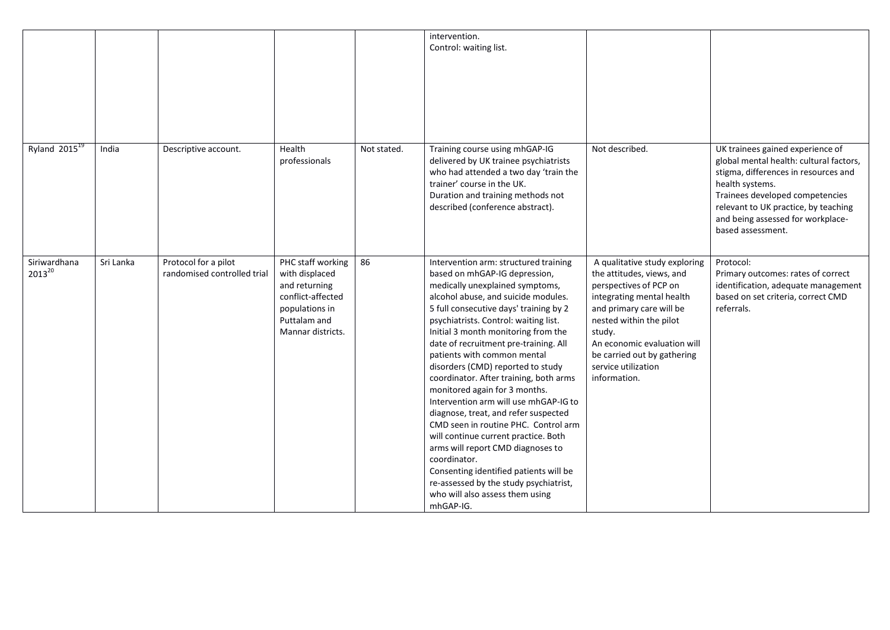|                             |           |                                                     |                                                                                                                                  |             | intervention.<br>Control: waiting list.                                                                                                                                                                                                                                                                                                                                                                                                                                                                                                                                                                                                                                                                                                                                                                                      |                                                                                                                                                                                                                                                                                         |                                                                                                                                                                                                                                                                             |
|-----------------------------|-----------|-----------------------------------------------------|----------------------------------------------------------------------------------------------------------------------------------|-------------|------------------------------------------------------------------------------------------------------------------------------------------------------------------------------------------------------------------------------------------------------------------------------------------------------------------------------------------------------------------------------------------------------------------------------------------------------------------------------------------------------------------------------------------------------------------------------------------------------------------------------------------------------------------------------------------------------------------------------------------------------------------------------------------------------------------------------|-----------------------------------------------------------------------------------------------------------------------------------------------------------------------------------------------------------------------------------------------------------------------------------------|-----------------------------------------------------------------------------------------------------------------------------------------------------------------------------------------------------------------------------------------------------------------------------|
| Ryland $2015^{19}$          | India     | Descriptive account.                                | Health<br>professionals                                                                                                          | Not stated. | Training course using mhGAP-IG<br>delivered by UK trainee psychiatrists<br>who had attended a two day 'train the<br>trainer' course in the UK.<br>Duration and training methods not<br>described (conference abstract).                                                                                                                                                                                                                                                                                                                                                                                                                                                                                                                                                                                                      | Not described.                                                                                                                                                                                                                                                                          | UK trainees gained experience of<br>global mental health: cultural factors,<br>stigma, differences in resources and<br>health systems.<br>Trainees developed competencies<br>relevant to UK practice, by teaching<br>and being assessed for workplace-<br>based assessment. |
| Siriwardhana<br>$2013^{20}$ | Sri Lanka | Protocol for a pilot<br>randomised controlled trial | PHC staff working<br>with displaced<br>and returning<br>conflict-affected<br>populations in<br>Puttalam and<br>Mannar districts. | 86          | Intervention arm: structured training<br>based on mhGAP-IG depression,<br>medically unexplained symptoms,<br>alcohol abuse, and suicide modules.<br>5 full consecutive days' training by 2<br>psychiatrists. Control: waiting list.<br>Initial 3 month monitoring from the<br>date of recruitment pre-training. All<br>patients with common mental<br>disorders (CMD) reported to study<br>coordinator. After training, both arms<br>monitored again for 3 months.<br>Intervention arm will use mhGAP-IG to<br>diagnose, treat, and refer suspected<br>CMD seen in routine PHC. Control arm<br>will continue current practice. Both<br>arms will report CMD diagnoses to<br>coordinator.<br>Consenting identified patients will be<br>re-assessed by the study psychiatrist,<br>who will also assess them using<br>mhGAP-IG. | A qualitative study exploring<br>the attitudes, views, and<br>perspectives of PCP on<br>integrating mental health<br>and primary care will be<br>nested within the pilot<br>study.<br>An economic evaluation will<br>be carried out by gathering<br>service utilization<br>information. | Protocol:<br>Primary outcomes: rates of correct<br>identification, adequate management<br>based on set criteria, correct CMD<br>referrals.                                                                                                                                  |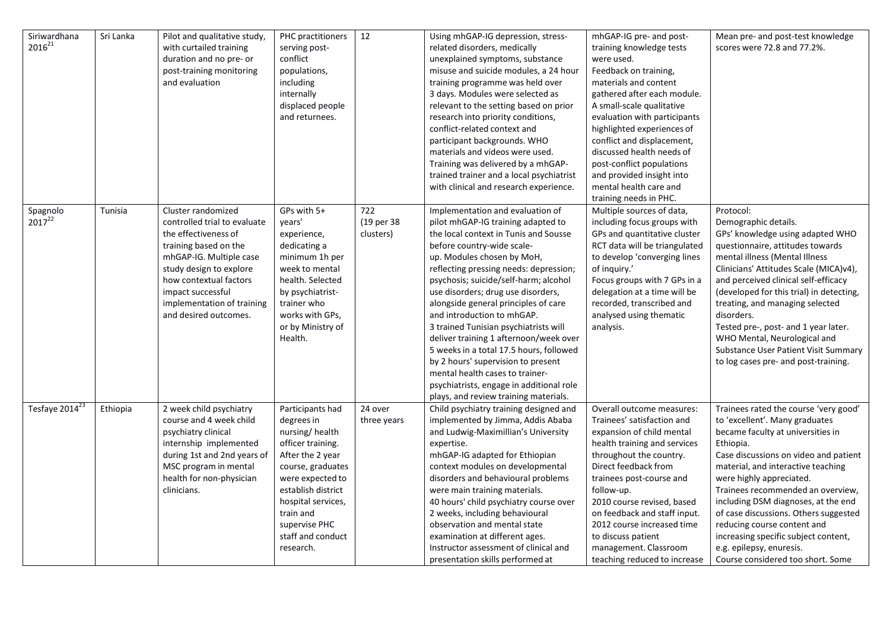| Siriwardhana<br>$2016^{21}$ | Sri Lanka | Pilot and qualitative study,<br>with curtailed training<br>duration and no pre- or<br>post-training monitoring<br>and evaluation                                                                                                                                | PHC practitioners<br>serving post-<br>conflict<br>populations,<br>including<br>internally<br>displaced people<br>and returnees.                                                                                                                | 12                             | Using mhGAP-IG depression, stress-<br>related disorders, medically<br>unexplained symptoms, substance<br>misuse and suicide modules, a 24 hour<br>training programme was held over<br>3 days. Modules were selected as<br>relevant to the setting based on prior<br>research into priority conditions,<br>conflict-related context and<br>participant backgrounds. WHO<br>materials and videos were used.<br>Training was delivered by a mhGAP-<br>trained trainer and a local psychiatrist<br>with clinical and research experience.                                                                                                                                  | mhGAP-IG pre- and post-<br>training knowledge tests<br>were used.<br>Feedback on training,<br>materials and content<br>gathered after each module.<br>A small-scale qualitative<br>evaluation with participants<br>highlighted experiences of<br>conflict and displacement,<br>discussed health needs of<br>post-conflict populations<br>and provided insight into<br>mental health care and<br>training needs in PHC. | Mean pre- and post-test knowledge<br>scores were 72.8 and 77.2%.                                                                                                                                                                                                                                                                                                                                                                                                                                  |
|-----------------------------|-----------|-----------------------------------------------------------------------------------------------------------------------------------------------------------------------------------------------------------------------------------------------------------------|------------------------------------------------------------------------------------------------------------------------------------------------------------------------------------------------------------------------------------------------|--------------------------------|------------------------------------------------------------------------------------------------------------------------------------------------------------------------------------------------------------------------------------------------------------------------------------------------------------------------------------------------------------------------------------------------------------------------------------------------------------------------------------------------------------------------------------------------------------------------------------------------------------------------------------------------------------------------|------------------------------------------------------------------------------------------------------------------------------------------------------------------------------------------------------------------------------------------------------------------------------------------------------------------------------------------------------------------------------------------------------------------------|---------------------------------------------------------------------------------------------------------------------------------------------------------------------------------------------------------------------------------------------------------------------------------------------------------------------------------------------------------------------------------------------------------------------------------------------------------------------------------------------------|
| Spagnolo<br>$2017^{22}$     | Tunisia   | Cluster randomized<br>controlled trial to evaluate<br>the effectiveness of<br>training based on the<br>mhGAP-IG. Multiple case<br>study design to explore<br>how contextual factors<br>impact successful<br>implementation of training<br>and desired outcomes. | GPs with 5+<br>years'<br>experience,<br>dedicating a<br>minimum 1h per<br>week to mental<br>health. Selected<br>by psychiatrist-<br>trainer who<br>works with GPs,<br>or by Ministry of<br>Health.                                             | 722<br>(19 per 38<br>clusters) | Implementation and evaluation of<br>pilot mhGAP-IG training adapted to<br>the local context in Tunis and Sousse<br>before country-wide scale-<br>up. Modules chosen by MoH,<br>reflecting pressing needs: depression;<br>psychosis; suicide/self-harm; alcohol<br>use disorders; drug use disorders,<br>alongside general principles of care<br>and introduction to mhGAP.<br>3 trained Tunisian psychiatrists will<br>deliver training 1 afternoon/week over<br>5 weeks in a total 17.5 hours, followed<br>by 2 hours' supervision to present<br>mental health cases to trainer-<br>psychiatrists, engage in additional role<br>plays, and review training materials. | Multiple sources of data,<br>including focus groups with<br>GPs and quantitative cluster<br>RCT data will be triangulated<br>to develop 'converging lines<br>of inquiry.'<br>Focus groups with 7 GPs in a<br>delegation at a time will be<br>recorded, transcribed and<br>analysed using thematic<br>analysis.                                                                                                         | Protocol:<br>Demographic details.<br>GPs' knowledge using adapted WHO<br>questionnaire, attitudes towards<br>mental illness (Mental Illness<br>Clinicians' Attitudes Scale (MICA)v4),<br>and perceived clinical self-efficacy<br>(developed for this trial) in detecting,<br>treating, and managing selected<br>disorders.<br>Tested pre-, post- and 1 year later.<br>WHO Mental, Neurological and<br>Substance User Patient Visit Summary<br>to log cases pre- and post-training.                |
| Tesfaye 2014 <sup>23</sup>  | Ethiopia  | 2 week child psychiatry<br>course and 4 week child<br>psychiatry clinical<br>internship implemented<br>during 1st and 2nd years of<br>MSC program in mental<br>health for non-physician<br>clinicians.                                                          | Participants had<br>degrees in<br>nursing/health<br>officer training.<br>After the 2 year<br>course, graduates<br>were expected to<br>establish district<br>hospital services,<br>train and<br>supervise PHC<br>staff and conduct<br>research. | 24 over<br>three years         | Child psychiatry training designed and<br>implemented by Jimma, Addis Ababa<br>and Ludwig-Maximillian's University<br>expertise.<br>mhGAP-IG adapted for Ethiopian<br>context modules on developmental<br>disorders and behavioural problems<br>were main training materials.<br>40 hours' child psychiatry course over<br>2 weeks, including behavioural<br>observation and mental state<br>examination at different ages.<br>Instructor assessment of clinical and<br>presentation skills performed at                                                                                                                                                               | Overall outcome measures:<br>Trainees' satisfaction and<br>expansion of child mental<br>health training and services<br>throughout the country.<br>Direct feedback from<br>trainees post-course and<br>follow-up.<br>2010 course revised, based<br>on feedback and staff input.<br>2012 course increased time<br>to discuss patient<br>management. Classroom<br>teaching reduced to increase                           | Trainees rated the course 'very good'<br>to 'excellent'. Many graduates<br>became faculty at universities in<br>Ethiopia.<br>Case discussions on video and patient<br>material, and interactive teaching<br>were highly appreciated.<br>Trainees recommended an overview,<br>including DSM diagnoses, at the end<br>of case discussions. Others suggested<br>reducing course content and<br>increasing specific subject content,<br>e.g. epilepsy, enuresis.<br>Course considered too short. Some |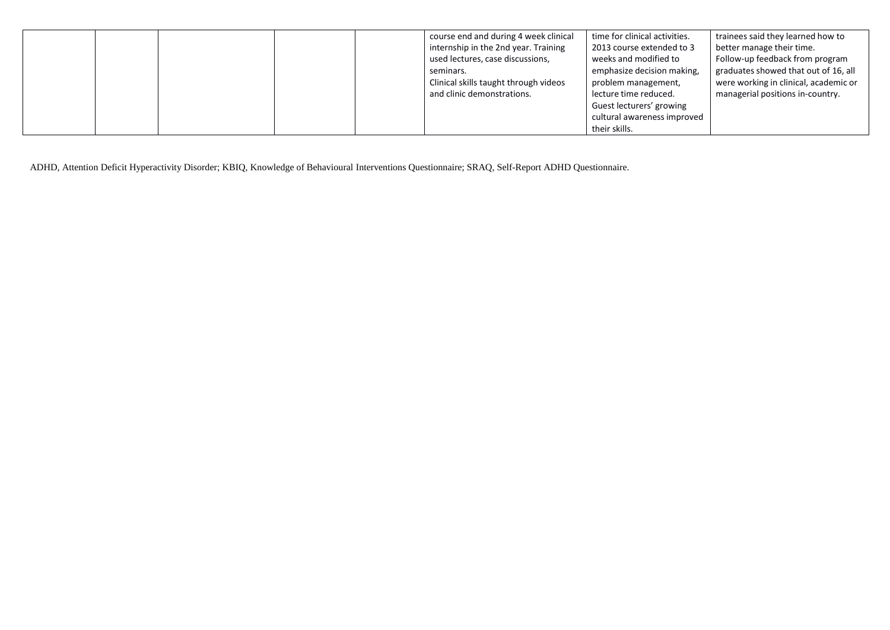|  |  |  |  |  | course end and during 4 week clinical<br>internship in the 2nd year. Training<br>used lectures, case discussions,<br>seminars.<br>Clinical skills taught through videos<br>and clinic demonstrations. | time for clinical activities.<br>2013 course extended to 3<br>weeks and modified to<br>emphasize decision making,<br>problem management,<br>lecture time reduced.<br>Guest lecturers' growing<br>cultural awareness improved<br>their skills. | trainees said they learned how to<br>better manage their time.<br>Follow-up feedback from program<br>graduates showed that out of 16, all<br>were working in clinical, academic or<br>managerial positions in-country. |
|--|--|--|--|--|-------------------------------------------------------------------------------------------------------------------------------------------------------------------------------------------------------|-----------------------------------------------------------------------------------------------------------------------------------------------------------------------------------------------------------------------------------------------|------------------------------------------------------------------------------------------------------------------------------------------------------------------------------------------------------------------------|
|--|--|--|--|--|-------------------------------------------------------------------------------------------------------------------------------------------------------------------------------------------------------|-----------------------------------------------------------------------------------------------------------------------------------------------------------------------------------------------------------------------------------------------|------------------------------------------------------------------------------------------------------------------------------------------------------------------------------------------------------------------------|

ADHD, Attention Deficit Hyperactivity Disorder; KBIQ, Knowledge of Behavioural Interventions Questionnaire; SRAQ, Self-Report ADHD Questionnaire.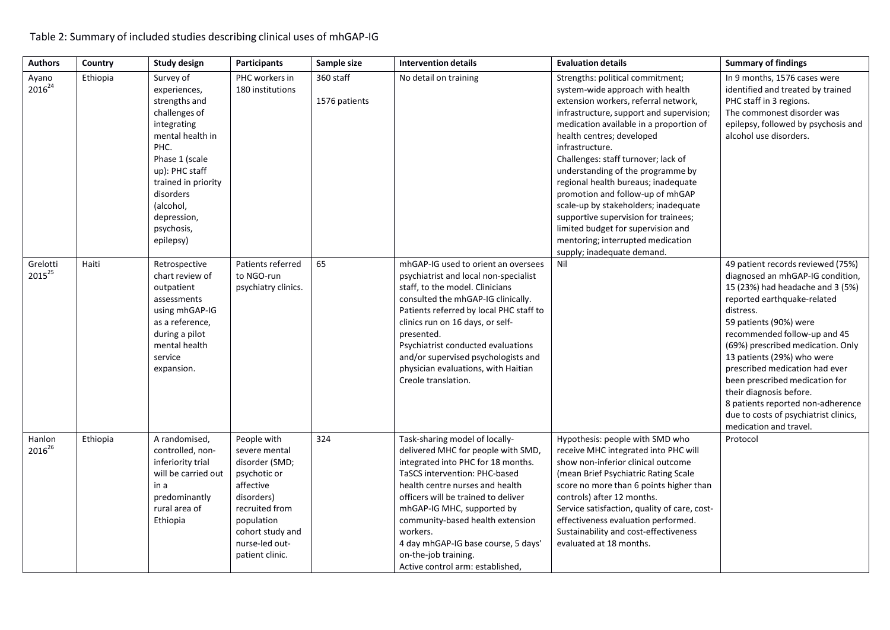| <b>Authors</b>          | Country  | <b>Study design</b>                                                                                                                                                                                                                   | Participants                                                                                                                                                                       | Sample size                | <b>Intervention details</b>                                                                                                                                                                                                                                                                                                                                                                            | <b>Evaluation details</b>                                                                                                                                                                                                                                                                                                                                                                                                                                                                                                                                                                           | <b>Summary of findings</b>                                                                                                                                                                                                                                                                                                                                                                                                                                                                |
|-------------------------|----------|---------------------------------------------------------------------------------------------------------------------------------------------------------------------------------------------------------------------------------------|------------------------------------------------------------------------------------------------------------------------------------------------------------------------------------|----------------------------|--------------------------------------------------------------------------------------------------------------------------------------------------------------------------------------------------------------------------------------------------------------------------------------------------------------------------------------------------------------------------------------------------------|-----------------------------------------------------------------------------------------------------------------------------------------------------------------------------------------------------------------------------------------------------------------------------------------------------------------------------------------------------------------------------------------------------------------------------------------------------------------------------------------------------------------------------------------------------------------------------------------------------|-------------------------------------------------------------------------------------------------------------------------------------------------------------------------------------------------------------------------------------------------------------------------------------------------------------------------------------------------------------------------------------------------------------------------------------------------------------------------------------------|
| Ayano<br>$2016^{24}$    | Ethiopia | Survey of<br>experiences,<br>strengths and<br>challenges of<br>integrating<br>mental health in<br>PHC.<br>Phase 1 (scale<br>up): PHC staff<br>trained in priority<br>disorders<br>(alcohol,<br>depression,<br>psychosis,<br>epilepsy) | PHC workers in<br>180 institutions                                                                                                                                                 | 360 staff<br>1576 patients | No detail on training                                                                                                                                                                                                                                                                                                                                                                                  | Strengths: political commitment;<br>system-wide approach with health<br>extension workers, referral network,<br>infrastructure, support and supervision;<br>medication available in a proportion of<br>health centres; developed<br>infrastructure.<br>Challenges: staff turnover; lack of<br>understanding of the programme by<br>regional health bureaus; inadequate<br>promotion and follow-up of mhGAP<br>scale-up by stakeholders; inadequate<br>supportive supervision for trainees;<br>limited budget for supervision and<br>mentoring; interrupted medication<br>supply; inadequate demand. | In 9 months, 1576 cases were<br>identified and treated by trained<br>PHC staff in 3 regions.<br>The commonest disorder was<br>epilepsy, followed by psychosis and<br>alcohol use disorders.                                                                                                                                                                                                                                                                                               |
| Grelotti<br>$2015^{25}$ | Haiti    | Retrospective<br>chart review of<br>outpatient<br>assessments<br>using mhGAP-IG<br>as a reference,<br>during a pilot<br>mental health<br>service<br>expansion.                                                                        | Patients referred<br>to NGO-run<br>psychiatry clinics.                                                                                                                             | 65                         | mhGAP-IG used to orient an oversees<br>psychiatrist and local non-specialist<br>staff, to the model. Clinicians<br>consulted the mhGAP-IG clinically.<br>Patients referred by local PHC staff to<br>clinics run on 16 days, or self-<br>presented.<br>Psychiatrist conducted evaluations<br>and/or supervised psychologists and<br>physician evaluations, with Haitian<br>Creole translation.          | Nil                                                                                                                                                                                                                                                                                                                                                                                                                                                                                                                                                                                                 | 49 patient records reviewed (75%)<br>diagnosed an mhGAP-IG condition,<br>15 (23%) had headache and 3 (5%)<br>reported earthquake-related<br>distress.<br>59 patients (90%) were<br>recommended follow-up and 45<br>(69%) prescribed medication. Only<br>13 patients (29%) who were<br>prescribed medication had ever<br>been prescribed medication for<br>their diagnosis before.<br>8 patients reported non-adherence<br>due to costs of psychiatrist clinics,<br>medication and travel. |
| Hanlon<br>201626        | Ethiopia | A randomised,<br>controlled, non-<br>inferiority trial<br>will be carried out<br>in a<br>predominantly<br>rural area of<br>Ethiopia                                                                                                   | People with<br>severe mental<br>disorder (SMD;<br>psychotic or<br>affective<br>disorders)<br>recruited from<br>population<br>cohort study and<br>nurse-led out-<br>patient clinic. | 324                        | Task-sharing model of locally-<br>delivered MHC for people with SMD,<br>integrated into PHC for 18 months.<br>TaSCS intervention: PHC-based<br>health centre nurses and health<br>officers will be trained to deliver<br>mhGAP-IG MHC, supported by<br>community-based health extension<br>workers.<br>4 day mhGAP-IG base course, 5 days'<br>on-the-job training.<br>Active control arm: established, | Hypothesis: people with SMD who<br>receive MHC integrated into PHC will<br>show non-inferior clinical outcome<br>(mean Brief Psychiatric Rating Scale<br>score no more than 6 points higher than<br>controls) after 12 months.<br>Service satisfaction, quality of care, cost-<br>effectiveness evaluation performed.<br>Sustainability and cost-effectiveness<br>evaluated at 18 months.                                                                                                                                                                                                           | Protocol                                                                                                                                                                                                                                                                                                                                                                                                                                                                                  |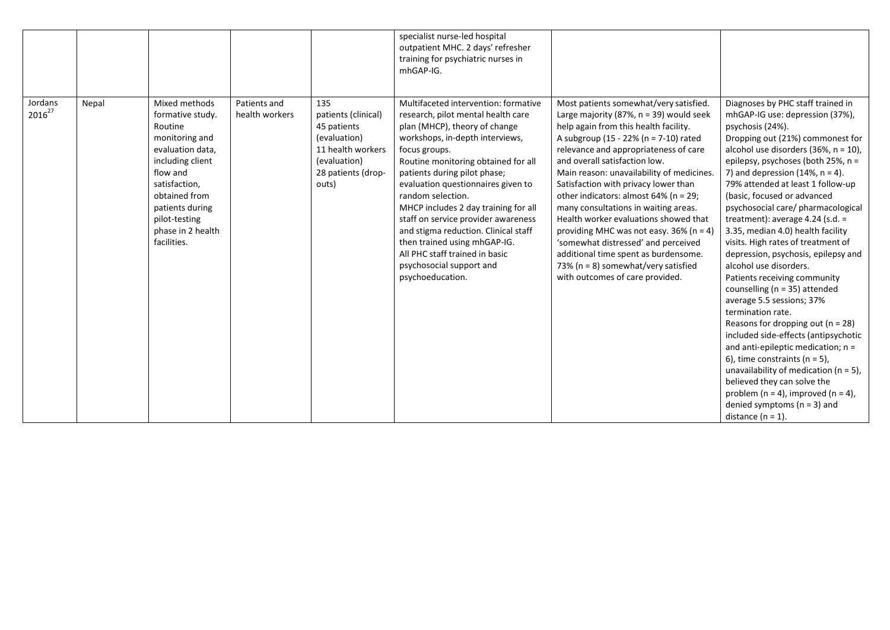|                        |       |                                                                                                                                                                                                                              |                                |                                                                                                                               | specialist nurse-led hospital<br>outpatient MHC. 2 days' refresher<br>training for psychiatric nurses in<br>mhGAP-IG.                                                                                                                                                                                                                                                                                                                                                                                                                      |                                                                                                                                                                                                                                                                                                                                                                                                                                                                                                                                                                                                                                                                                 |                                                                                                                                                                                                                                                                                                                                                                                                                                                                                                                                                                                                                                                                                                                                                                                                                                                                                                                                                                                                                               |
|------------------------|-------|------------------------------------------------------------------------------------------------------------------------------------------------------------------------------------------------------------------------------|--------------------------------|-------------------------------------------------------------------------------------------------------------------------------|--------------------------------------------------------------------------------------------------------------------------------------------------------------------------------------------------------------------------------------------------------------------------------------------------------------------------------------------------------------------------------------------------------------------------------------------------------------------------------------------------------------------------------------------|---------------------------------------------------------------------------------------------------------------------------------------------------------------------------------------------------------------------------------------------------------------------------------------------------------------------------------------------------------------------------------------------------------------------------------------------------------------------------------------------------------------------------------------------------------------------------------------------------------------------------------------------------------------------------------|-------------------------------------------------------------------------------------------------------------------------------------------------------------------------------------------------------------------------------------------------------------------------------------------------------------------------------------------------------------------------------------------------------------------------------------------------------------------------------------------------------------------------------------------------------------------------------------------------------------------------------------------------------------------------------------------------------------------------------------------------------------------------------------------------------------------------------------------------------------------------------------------------------------------------------------------------------------------------------------------------------------------------------|
| Jordans<br>$2016^{27}$ | Nepal | Mixed methods<br>formative study.<br>Routine<br>monitoring and<br>evaluation data,<br>including client<br>flow and<br>satisfaction,<br>obtained from<br>patients during<br>pilot-testing<br>phase in 2 health<br>facilities. | Patients and<br>health workers | 135<br>patients (clinical)<br>45 patients<br>(evaluation)<br>11 health workers<br>(evaluation)<br>28 patients (drop-<br>outs) | Multifaceted intervention: formative<br>research, pilot mental health care<br>plan (MHCP), theory of change<br>workshops, in-depth interviews,<br>focus groups.<br>Routine monitoring obtained for all<br>patients during pilot phase;<br>evaluation questionnaires given to<br>random selection.<br>MHCP includes 2 day training for all<br>staff on service provider awareness<br>and stigma reduction. Clinical staff<br>then trained using mhGAP-IG.<br>All PHC staff trained in basic<br>psychosocial support and<br>psychoeducation. | Most patients somewhat/very satisfied.<br>Large majority (87%, $n = 39$ ) would seek<br>help again from this health facility.<br>A subgroup $(15 - 22\% (n = 7-10))$ rated<br>relevance and appropriateness of care<br>and overall satisfaction low.<br>Main reason: unavailability of medicines.<br>Satisfaction with privacy lower than<br>other indicators: almost 64% (n = 29;<br>many consultations in waiting areas.<br>Health worker evaluations showed that<br>providing MHC was not easy. 36% ( $n = 4$ )<br>'somewhat distressed' and perceived<br>additional time spent as burdensome.<br>73% ( $n = 8$ ) somewhat/very satisfied<br>with outcomes of care provided. | Diagnoses by PHC staff trained in<br>mhGAP-IG use: depression (37%),<br>psychosis (24%).<br>Dropping out (21%) commonest for<br>alcohol use disorders $(36\% , n = 10)$ ,<br>epilepsy, psychoses (both 25%, n =<br>7) and depression $(14\% , n = 4)$ .<br>79% attended at least 1 follow-up<br>(basic, focused or advanced<br>psychosocial care/ pharmacological<br>treatment): average $4.24$ (s.d. =<br>3.35, median 4.0) health facility<br>visits. High rates of treatment of<br>depression, psychosis, epilepsy and<br>alcohol use disorders.<br>Patients receiving community<br>counselling ( $n = 35$ ) attended<br>average 5.5 sessions; 37%<br>termination rate.<br>Reasons for dropping out ( $n = 28$ )<br>included side-effects (antipsychotic<br>and anti-epileptic medication; $n =$<br>6), time constraints ( $n = 5$ ),<br>unavailability of medication ( $n = 5$ ),<br>believed they can solve the<br>problem ( $n = 4$ ), improved ( $n = 4$ ),<br>denied symptoms ( $n = 3$ ) and<br>distance $(n = 1)$ . |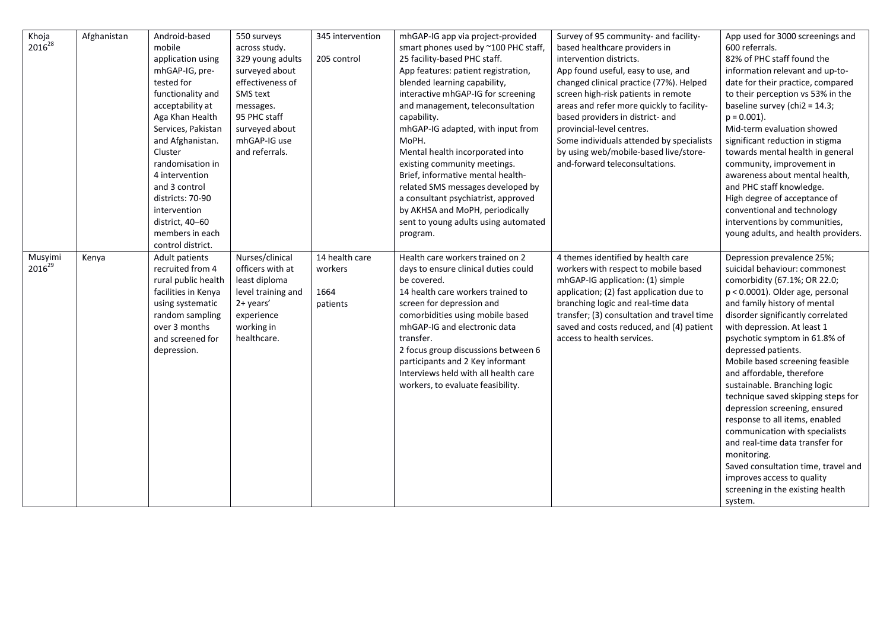| Khoja<br>$2016^{28}$   | Afghanistan | Android-based<br>mobile<br>application using<br>mhGAP-IG, pre-<br>tested for<br>functionality and<br>acceptability at<br>Aga Khan Health<br>Services, Pakistan<br>and Afghanistan.<br>Cluster<br>randomisation in<br>4 intervention<br>and 3 control<br>districts: 70-90<br>intervention<br>district, 40-60<br>members in each<br>control district. | 550 surveys<br>across study.<br>329 young adults<br>surveyed about<br>effectiveness of<br>SMS text<br>messages.<br>95 PHC staff<br>surveyed about<br>mhGAP-IG use<br>and referrals. | 345 intervention<br>205 control               | mhGAP-IG app via project-provided<br>smart phones used by ~100 PHC staff,<br>25 facility-based PHC staff.<br>App features: patient registration,<br>blended learning capability,<br>interactive mhGAP-IG for screening<br>and management, teleconsultation<br>capability.<br>mhGAP-IG adapted, with input from<br>MoPH.<br>Mental health incorporated into<br>existing community meetings.<br>Brief, informative mental health-<br>related SMS messages developed by<br>a consultant psychiatrist, approved<br>by AKHSA and MoPH, periodically<br>sent to young adults using automated<br>program. | Survey of 95 community- and facility-<br>based healthcare providers in<br>intervention districts.<br>App found useful, easy to use, and<br>changed clinical practice (77%). Helped<br>screen high-risk patients in remote<br>areas and refer more quickly to facility-<br>based providers in district- and<br>provincial-level centres.<br>Some individuals attended by specialists<br>by using web/mobile-based live/store-<br>and-forward teleconsultations. | App used for 3000 screenings and<br>600 referrals.<br>82% of PHC staff found the<br>information relevant and up-to-<br>date for their practice, compared<br>to their perception vs 53% in the<br>baseline survey (chi $2 = 14.3$ ;<br>$p = 0.001$ ).<br>Mid-term evaluation showed<br>significant reduction in stigma<br>towards mental health in general<br>community, improvement in<br>awareness about mental health,<br>and PHC staff knowledge.<br>High degree of acceptance of<br>conventional and technology<br>interventions by communities,<br>young adults, and health providers.                                                                                                                     |
|------------------------|-------------|-----------------------------------------------------------------------------------------------------------------------------------------------------------------------------------------------------------------------------------------------------------------------------------------------------------------------------------------------------|-------------------------------------------------------------------------------------------------------------------------------------------------------------------------------------|-----------------------------------------------|----------------------------------------------------------------------------------------------------------------------------------------------------------------------------------------------------------------------------------------------------------------------------------------------------------------------------------------------------------------------------------------------------------------------------------------------------------------------------------------------------------------------------------------------------------------------------------------------------|----------------------------------------------------------------------------------------------------------------------------------------------------------------------------------------------------------------------------------------------------------------------------------------------------------------------------------------------------------------------------------------------------------------------------------------------------------------|-----------------------------------------------------------------------------------------------------------------------------------------------------------------------------------------------------------------------------------------------------------------------------------------------------------------------------------------------------------------------------------------------------------------------------------------------------------------------------------------------------------------------------------------------------------------------------------------------------------------------------------------------------------------------------------------------------------------|
| Musyimi<br>$2016^{29}$ | Kenya       | <b>Adult patients</b><br>recruited from 4<br>rural public health<br>facilities in Kenya<br>using systematic<br>random sampling<br>over 3 months<br>and screened for<br>depression.                                                                                                                                                                  | Nurses/clinical<br>officers with at<br>least diploma<br>level training and<br>2+ years'<br>experience<br>working in<br>healthcare.                                                  | 14 health care<br>workers<br>1664<br>patients | Health care workers trained on 2<br>days to ensure clinical duties could<br>be covered.<br>14 health care workers trained to<br>screen for depression and<br>comorbidities using mobile based<br>mhGAP-IG and electronic data<br>transfer.<br>2 focus group discussions between 6<br>participants and 2 Key informant<br>Interviews held with all health care<br>workers, to evaluate feasibility.                                                                                                                                                                                                 | 4 themes identified by health care<br>workers with respect to mobile based<br>mhGAP-IG application: (1) simple<br>application; (2) fast application due to<br>branching logic and real-time data<br>transfer; (3) consultation and travel time<br>saved and costs reduced, and (4) patient<br>access to health services.                                                                                                                                       | Depression prevalence 25%;<br>suicidal behaviour: commonest<br>comorbidity (67.1%; OR 22.0;<br>$p < 0.0001$ ). Older age, personal<br>and family history of mental<br>disorder significantly correlated<br>with depression. At least 1<br>psychotic symptom in 61.8% of<br>depressed patients.<br>Mobile based screening feasible<br>and affordable, therefore<br>sustainable. Branching logic<br>technique saved skipping steps for<br>depression screening, ensured<br>response to all items, enabled<br>communication with specialists<br>and real-time data transfer for<br>monitoring.<br>Saved consultation time, travel and<br>improves access to quality<br>screening in the existing health<br>system. |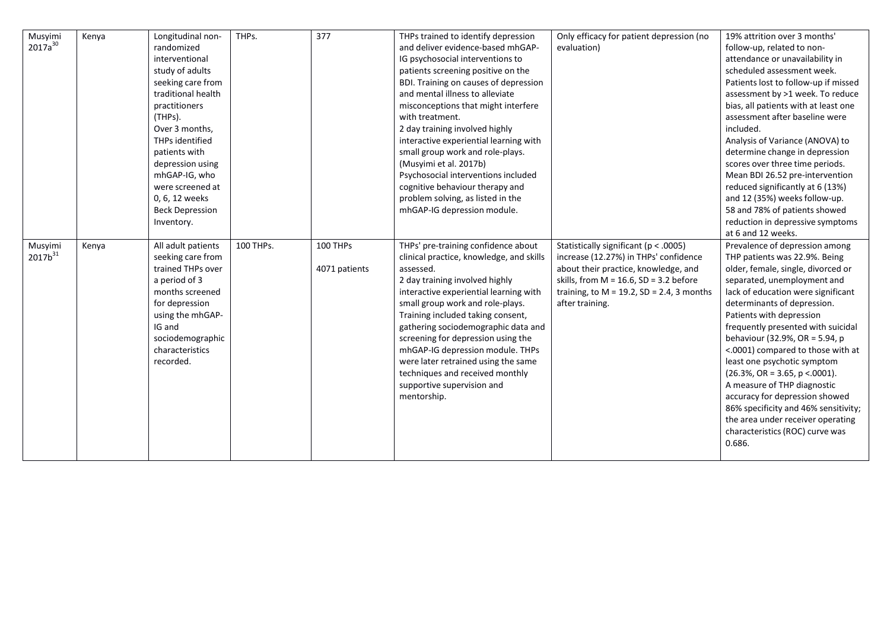| Musyimi<br>$2017a^{30}$        | Kenya | Longitudinal non-<br>randomized<br>interventional<br>study of adults<br>seeking care from<br>traditional health<br>practitioners<br>(THPs).<br>Over 3 months,<br>THPs identified<br>patients with<br>depression using<br>mhGAP-IG, who<br>were screened at<br>0, 6, 12 weeks<br><b>Beck Depression</b><br>Inventory. | THPs.     | 377                       | THPs trained to identify depression<br>and deliver evidence-based mhGAP-<br>IG psychosocial interventions to<br>patients screening positive on the<br>BDI. Training on causes of depression<br>and mental illness to alleviate<br>misconceptions that might interfere<br>with treatment.<br>2 day training involved highly<br>interactive experiential learning with<br>small group work and role-plays.<br>(Musyimi et al. 2017b)<br>Psychosocial interventions included<br>cognitive behaviour therapy and<br>problem solving, as listed in the<br>mhGAP-IG depression module. | Only efficacy for patient depression (no<br>evaluation)                                                                                                                                                                                | 19% attrition over 3 months'<br>follow-up, related to non-<br>attendance or unavailability in<br>scheduled assessment week.<br>Patients lost to follow-up if missed<br>assessment by >1 week. To reduce<br>bias, all patients with at least one<br>assessment after baseline were<br>included.<br>Analysis of Variance (ANOVA) to<br>determine change in depression<br>scores over three time periods.<br>Mean BDI 26.52 pre-intervention<br>reduced significantly at 6 (13%)<br>and 12 (35%) weeks follow-up.<br>58 and 78% of patients showed<br>reduction in depressive symptoms<br>at 6 and 12 weeks.         |
|--------------------------------|-------|----------------------------------------------------------------------------------------------------------------------------------------------------------------------------------------------------------------------------------------------------------------------------------------------------------------------|-----------|---------------------------|----------------------------------------------------------------------------------------------------------------------------------------------------------------------------------------------------------------------------------------------------------------------------------------------------------------------------------------------------------------------------------------------------------------------------------------------------------------------------------------------------------------------------------------------------------------------------------|----------------------------------------------------------------------------------------------------------------------------------------------------------------------------------------------------------------------------------------|-------------------------------------------------------------------------------------------------------------------------------------------------------------------------------------------------------------------------------------------------------------------------------------------------------------------------------------------------------------------------------------------------------------------------------------------------------------------------------------------------------------------------------------------------------------------------------------------------------------------|
| Musyimi<br>2017b <sup>31</sup> | Kenya | All adult patients<br>seeking care from<br>trained THPs over<br>a period of 3<br>months screened<br>for depression<br>using the mhGAP-<br>IG and<br>sociodemographic<br>characteristics<br>recorded.                                                                                                                 | 100 THPs. | 100 THPs<br>4071 patients | THPs' pre-training confidence about<br>clinical practice, knowledge, and skills<br>assessed.<br>2 day training involved highly<br>interactive experiential learning with<br>small group work and role-plays.<br>Training included taking consent,<br>gathering sociodemographic data and<br>screening for depression using the<br>mhGAP-IG depression module. THPs<br>were later retrained using the same<br>techniques and received monthly<br>supportive supervision and<br>mentorship.                                                                                        | Statistically significant (p < .0005)<br>increase (12.27%) in THPs' confidence<br>about their practice, knowledge, and<br>skills, from $M = 16.6$ , SD = 3.2 before<br>training, to $M = 19.2$ , SD = 2.4, 3 months<br>after training. | Prevalence of depression among<br>THP patients was 22.9%. Being<br>older, female, single, divorced or<br>separated, unemployment and<br>lack of education were significant<br>determinants of depression.<br>Patients with depression<br>frequently presented with suicidal<br>behaviour (32.9%, OR = 5.94, p<br><.0001) compared to those with at<br>least one psychotic symptom<br>$(26.3\%, OR = 3.65, p < .0001).$<br>A measure of THP diagnostic<br>accuracy for depression showed<br>86% specificity and 46% sensitivity;<br>the area under receiver operating<br>characteristics (ROC) curve was<br>0.686. |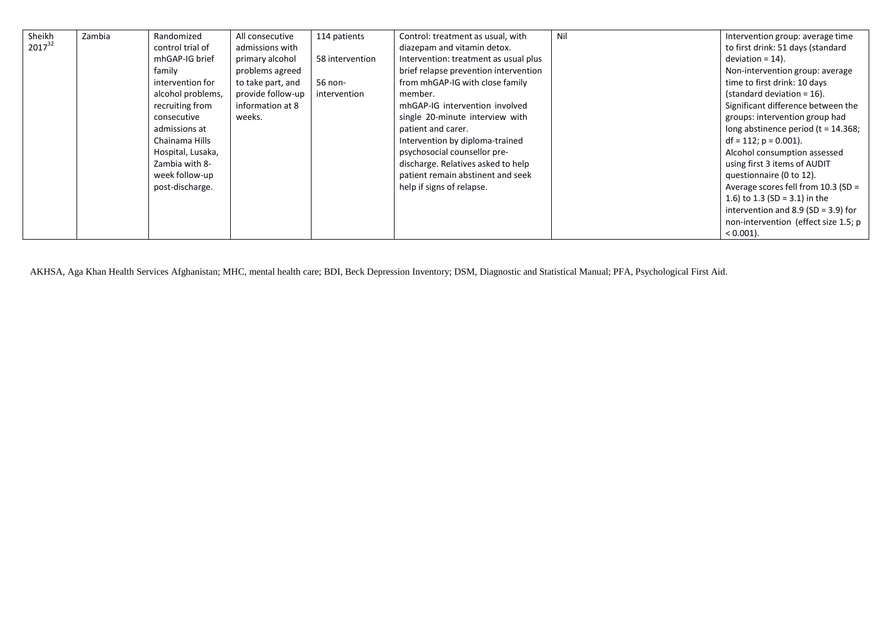| Sheikh<br>$2017^{32}$ | Zambia | Randomized<br>control trial of<br>mhGAP-IG brief<br>family<br>intervention for<br>alcohol problems,<br>recruiting from<br>consecutive<br>admissions at<br>Chainama Hills<br>Hospital, Lusaka,<br>Zambia with 8-<br>week follow-up<br>post-discharge. | All consecutive<br>admissions with<br>primary alcohol<br>problems agreed<br>to take part, and<br>provide follow-up<br>information at 8<br>weeks. | 114 patients<br>58 intervention<br>56 non-<br>intervention | Control: treatment as usual, with<br>diazepam and vitamin detox.<br>Intervention: treatment as usual plus<br>brief relapse prevention intervention<br>from mhGAP-IG with close family<br>member.<br>mhGAP-IG intervention involved<br>single 20-minute interview with<br>patient and carer.<br>Intervention by diploma-trained<br>psychosocial counsellor pre-<br>discharge. Relatives asked to help<br>patient remain abstinent and seek<br>help if signs of relapse. | Nil | Intervention group: average time<br>to first drink: 51 days (standard<br>$deviation = 14$ ).<br>Non-intervention group: average<br>time to first drink: 10 days<br>(standard deviation = $16$ ).<br>Significant difference between the<br>groups: intervention group had<br>long abstinence period ( $t = 14.368$ ;<br>$df = 112$ ; $p = 0.001$ ).<br>Alcohol consumption assessed<br>using first 3 items of AUDIT<br>questionnaire (0 to 12).<br>Average scores fell from 10.3 (SD =<br>1.6) to 1.3 (SD = 3.1) in the<br>intervention and $8.9$ (SD = 3.9) for<br>non-intervention (effect size 1.5; p<br>$< 0.001$ ). |
|-----------------------|--------|------------------------------------------------------------------------------------------------------------------------------------------------------------------------------------------------------------------------------------------------------|--------------------------------------------------------------------------------------------------------------------------------------------------|------------------------------------------------------------|------------------------------------------------------------------------------------------------------------------------------------------------------------------------------------------------------------------------------------------------------------------------------------------------------------------------------------------------------------------------------------------------------------------------------------------------------------------------|-----|-------------------------------------------------------------------------------------------------------------------------------------------------------------------------------------------------------------------------------------------------------------------------------------------------------------------------------------------------------------------------------------------------------------------------------------------------------------------------------------------------------------------------------------------------------------------------------------------------------------------------|
|-----------------------|--------|------------------------------------------------------------------------------------------------------------------------------------------------------------------------------------------------------------------------------------------------------|--------------------------------------------------------------------------------------------------------------------------------------------------|------------------------------------------------------------|------------------------------------------------------------------------------------------------------------------------------------------------------------------------------------------------------------------------------------------------------------------------------------------------------------------------------------------------------------------------------------------------------------------------------------------------------------------------|-----|-------------------------------------------------------------------------------------------------------------------------------------------------------------------------------------------------------------------------------------------------------------------------------------------------------------------------------------------------------------------------------------------------------------------------------------------------------------------------------------------------------------------------------------------------------------------------------------------------------------------------|

AKHSA, Aga Khan Health Services Afghanistan; MHC, mental health care; BDI, Beck Depression Inventory; DSM, Diagnostic and Statistical Manual; PFA, Psychological First Aid.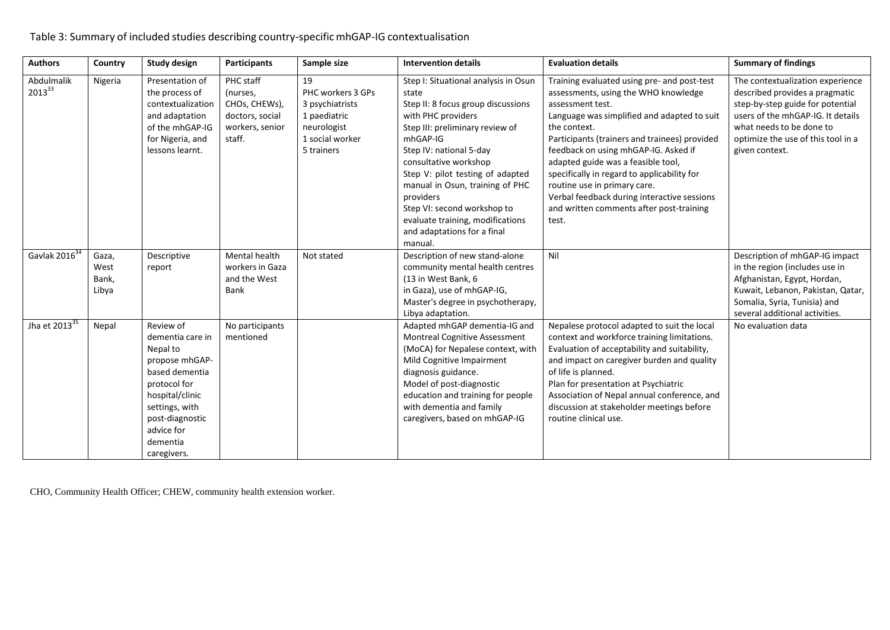## Table 3: Summary of included studies describing country-specific mhGAP-IG contextualisation

| <b>Authors</b>            | Country                         | <b>Study design</b>                                                                                                                                                                            | <b>Participants</b>                                                                    | Sample size                                                                                                | <b>Intervention details</b>                                                                                                                                                                                                                                                                                                                                                                                   | <b>Evaluation details</b>                                                                                                                                                                                                                                                                                                                                                                                                                                                                | <b>Summary of findings</b>                                                                                                                                                                                                      |
|---------------------------|---------------------------------|------------------------------------------------------------------------------------------------------------------------------------------------------------------------------------------------|----------------------------------------------------------------------------------------|------------------------------------------------------------------------------------------------------------|---------------------------------------------------------------------------------------------------------------------------------------------------------------------------------------------------------------------------------------------------------------------------------------------------------------------------------------------------------------------------------------------------------------|------------------------------------------------------------------------------------------------------------------------------------------------------------------------------------------------------------------------------------------------------------------------------------------------------------------------------------------------------------------------------------------------------------------------------------------------------------------------------------------|---------------------------------------------------------------------------------------------------------------------------------------------------------------------------------------------------------------------------------|
| Abdulmalik<br>$2013^{33}$ | Nigeria                         | Presentation of<br>the process of<br>contextualization<br>and adaptation<br>of the mhGAP-IG<br>for Nigeria, and<br>lessons learnt.                                                             | PHC staff<br>(nurses,<br>CHOs, CHEWs),<br>doctors, social<br>workers, senior<br>staff. | 19<br>PHC workers 3 GPs<br>3 psychiatrists<br>1 paediatric<br>neurologist<br>1 social worker<br>5 trainers | Step I: Situational analysis in Osun<br>state<br>Step II: 8 focus group discussions<br>with PHC providers<br>Step III: preliminary review of<br>mhGAP-IG<br>Step IV: national 5-day<br>consultative workshop<br>Step V: pilot testing of adapted<br>manual in Osun, training of PHC<br>providers<br>Step VI: second workshop to<br>evaluate training, modifications<br>and adaptations for a final<br>manual. | Training evaluated using pre- and post-test<br>assessments, using the WHO knowledge<br>assessment test.<br>Language was simplified and adapted to suit<br>the context.<br>Participants (trainers and trainees) provided<br>feedback on using mhGAP-IG. Asked if<br>adapted guide was a feasible tool,<br>specifically in regard to applicability for<br>routine use in primary care.<br>Verbal feedback during interactive sessions<br>and written comments after post-training<br>test. | The contextualization experience<br>described provides a pragmatic<br>step-by-step guide for potential<br>users of the mhGAP-IG. It details<br>what needs to be done to<br>optimize the use of this tool in a<br>given context. |
| Gavlak 2016 <sup>34</sup> | Gaza,<br>West<br>Bank,<br>Libya | Descriptive<br>report                                                                                                                                                                          | Mental health<br>workers in Gaza<br>and the West<br>Bank                               | Not stated                                                                                                 | Description of new stand-alone<br>community mental health centres<br>(13 in West Bank, 6<br>in Gaza), use of mhGAP-IG,<br>Master's degree in psychotherapy,<br>Libya adaptation.                                                                                                                                                                                                                              | Nil                                                                                                                                                                                                                                                                                                                                                                                                                                                                                      | Description of mhGAP-IG impact<br>in the region (includes use in<br>Afghanistan, Egypt, Hordan,<br>Kuwait, Lebanon, Pakistan, Qatar,<br>Somalia, Syria, Tunisia) and<br>several additional activities.                          |
| Jha et 2013 <sup>35</sup> | Nepal                           | Review of<br>dementia care in<br>Nepal to<br>propose mhGAP-<br>based dementia<br>protocol for<br>hospital/clinic<br>settings, with<br>post-diagnostic<br>advice for<br>dementia<br>caregivers. | No participants<br>mentioned                                                           |                                                                                                            | Adapted mhGAP dementia-IG and<br><b>Montreal Cognitive Assessment</b><br>(MoCA) for Nepalese context, with<br>Mild Cognitive Impairment<br>diagnosis guidance.<br>Model of post-diagnostic<br>education and training for people<br>with dementia and family<br>caregivers, based on mhGAP-IG                                                                                                                  | Nepalese protocol adapted to suit the local<br>context and workforce training limitations.<br>Evaluation of acceptability and suitability,<br>and impact on caregiver burden and quality<br>of life is planned.<br>Plan for presentation at Psychiatric<br>Association of Nepal annual conference, and<br>discussion at stakeholder meetings before<br>routine clinical use.                                                                                                             | No evaluation data                                                                                                                                                                                                              |

CHO, Community Health Officer; CHEW, community health extension worker.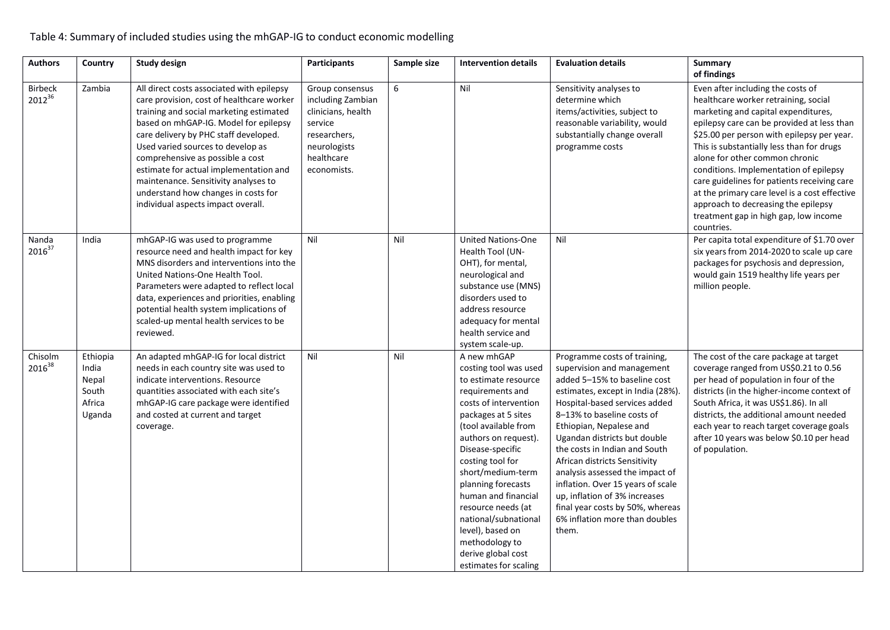## Table 4: Summary of included studies using the mhGAP-IG to conduct economic modelling

| <b>Authors</b>                | Country                                                 | <b>Study design</b>                                                                                                                                                                                                                                                                                                                                                                                                                                         | Participants                                                                                                                       | Sample size | <b>Intervention details</b>                                                                                                                                                                                                                                                                                                                                                                                                   | <b>Evaluation details</b>                                                                                                                                                                                                                                                                                                                                                                                                                                                                                           | <b>Summary</b><br>of findings                                                                                                                                                                                                                                                                                                                                                                                                                                                                                                       |
|-------------------------------|---------------------------------------------------------|-------------------------------------------------------------------------------------------------------------------------------------------------------------------------------------------------------------------------------------------------------------------------------------------------------------------------------------------------------------------------------------------------------------------------------------------------------------|------------------------------------------------------------------------------------------------------------------------------------|-------------|-------------------------------------------------------------------------------------------------------------------------------------------------------------------------------------------------------------------------------------------------------------------------------------------------------------------------------------------------------------------------------------------------------------------------------|---------------------------------------------------------------------------------------------------------------------------------------------------------------------------------------------------------------------------------------------------------------------------------------------------------------------------------------------------------------------------------------------------------------------------------------------------------------------------------------------------------------------|-------------------------------------------------------------------------------------------------------------------------------------------------------------------------------------------------------------------------------------------------------------------------------------------------------------------------------------------------------------------------------------------------------------------------------------------------------------------------------------------------------------------------------------|
| <b>Birbeck</b><br>$2012^{36}$ | Zambia                                                  | All direct costs associated with epilepsy<br>care provision, cost of healthcare worker<br>training and social marketing estimated<br>based on mhGAP-IG. Model for epilepsy<br>care delivery by PHC staff developed.<br>Used varied sources to develop as<br>comprehensive as possible a cost<br>estimate for actual implementation and<br>maintenance. Sensitivity analyses to<br>understand how changes in costs for<br>individual aspects impact overall. | Group consensus<br>including Zambian<br>clinicians, health<br>service<br>researchers,<br>neurologists<br>healthcare<br>economists. | 6           | Nil                                                                                                                                                                                                                                                                                                                                                                                                                           | Sensitivity analyses to<br>determine which<br>items/activities, subject to<br>reasonable variability, would<br>substantially change overall<br>programme costs                                                                                                                                                                                                                                                                                                                                                      | Even after including the costs of<br>healthcare worker retraining, social<br>marketing and capital expenditures,<br>epilepsy care can be provided at less than<br>\$25.00 per person with epilepsy per year.<br>This is substantially less than for drugs<br>alone for other common chronic<br>conditions. Implementation of epilepsy<br>care guidelines for patients receiving care<br>at the primary care level is a cost effective<br>approach to decreasing the epilepsy<br>treatment gap in high gap, low income<br>countries. |
| Nanda<br>$2016^{37}$          | India                                                   | mhGAP-IG was used to programme<br>resource need and health impact for key<br>MNS disorders and interventions into the<br>United Nations-One Health Tool.<br>Parameters were adapted to reflect local<br>data, experiences and priorities, enabling<br>potential health system implications of<br>scaled-up mental health services to be<br>reviewed.                                                                                                        | Nil                                                                                                                                | Nil         | <b>United Nations-One</b><br>Health Tool (UN-<br>OHT), for mental,<br>neurological and<br>substance use (MNS)<br>disorders used to<br>address resource<br>adequacy for mental<br>health service and<br>system scale-up.                                                                                                                                                                                                       | Nil                                                                                                                                                                                                                                                                                                                                                                                                                                                                                                                 | Per capita total expenditure of \$1.70 over<br>six years from 2014-2020 to scale up care<br>packages for psychosis and depression,<br>would gain 1519 healthy life years per<br>million people.                                                                                                                                                                                                                                                                                                                                     |
| Chisolm<br>201638             | Ethiopia<br>India<br>Nepal<br>South<br>Africa<br>Uganda | An adapted mhGAP-IG for local district<br>needs in each country site was used to<br>indicate interventions. Resource<br>quantities associated with each site's<br>mhGAP-IG care package were identified<br>and costed at current and target<br>coverage.                                                                                                                                                                                                    | Nil                                                                                                                                | Nil         | A new mhGAP<br>costing tool was used<br>to estimate resource<br>requirements and<br>costs of intervention<br>packages at 5 sites<br>(tool available from<br>authors on request).<br>Disease-specific<br>costing tool for<br>short/medium-term<br>planning forecasts<br>human and financial<br>resource needs (at<br>national/subnational<br>level), based on<br>methodology to<br>derive global cost<br>estimates for scaling | Programme costs of training,<br>supervision and management<br>added 5-15% to baseline cost<br>estimates, except in India (28%).<br>Hospital-based services added<br>8-13% to baseline costs of<br>Ethiopian, Nepalese and<br>Ugandan districts but double<br>the costs in Indian and South<br>African districts Sensitivity<br>analysis assessed the impact of<br>inflation. Over 15 years of scale<br>up, inflation of 3% increases<br>final year costs by 50%, whereas<br>6% inflation more than doubles<br>them. | The cost of the care package at target<br>coverage ranged from US\$0.21 to 0.56<br>per head of population in four of the<br>districts (in the higher-income context of<br>South Africa, it was US\$1.86). In all<br>districts, the additional amount needed<br>each year to reach target coverage goals<br>after 10 years was below \$0.10 per head<br>of population.                                                                                                                                                               |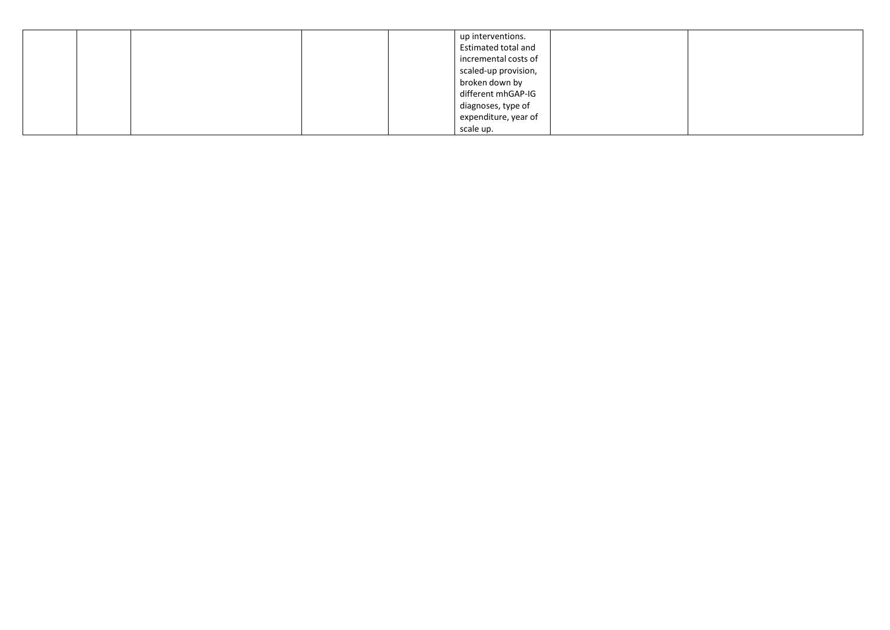|  |  | up interventions.<br>Estimated total and<br>incremental costs of<br>scaled-up provision,<br>broken down by<br>different mhGAP-IG<br>diagnoses, type of |  |
|--|--|--------------------------------------------------------------------------------------------------------------------------------------------------------|--|
|  |  | expenditure, year of                                                                                                                                   |  |
|  |  | scale up.                                                                                                                                              |  |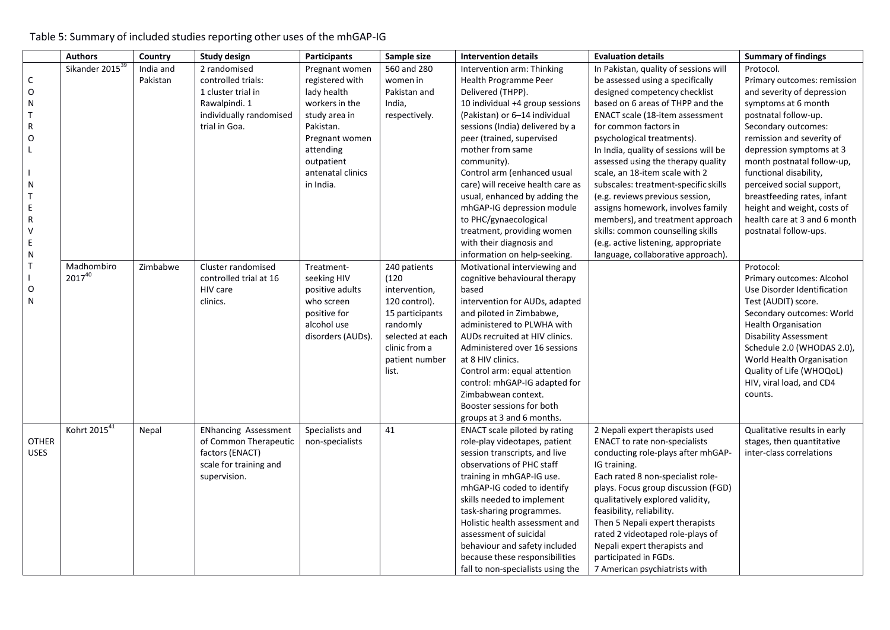|              | <b>Authors</b>              | Country   | <b>Study design</b>         | <b>Participants</b> | Sample size                  | <b>Intervention details</b>                                  | <b>Evaluation details</b>              | <b>Summary of findings</b>                                 |
|--------------|-----------------------------|-----------|-----------------------------|---------------------|------------------------------|--------------------------------------------------------------|----------------------------------------|------------------------------------------------------------|
|              | Sikander 2015 <sup>39</sup> | India and | 2 randomised                | Pregnant women      | 560 and 280                  | Intervention arm: Thinking                                   | In Pakistan, quality of sessions will  | Protocol.                                                  |
| С            |                             | Pakistan  | controlled trials:          | registered with     | women in                     | Health Programme Peer                                        | be assessed using a specifically       | Primary outcomes: remission                                |
| O            |                             |           | 1 cluster trial in          | lady health         | Pakistan and                 | Delivered (THPP).                                            | designed competency checklist          | and severity of depression                                 |
| N            |                             |           | Rawalpindi. 1               | workers in the      | India,                       | 10 individual +4 group sessions                              | based on 6 areas of THPP and the       | symptoms at 6 month                                        |
| Т            |                             |           | individually randomised     | study area in       | respectively.                | (Pakistan) or 6-14 individual                                | <b>ENACT scale (18-item assessment</b> | postnatal follow-up.                                       |
| R            |                             |           | trial in Goa.               | Pakistan.           |                              | sessions (India) delivered by a                              | for common factors in                  | Secondary outcomes:                                        |
| $\mathsf O$  |                             |           |                             | Pregnant women      |                              | peer (trained, supervised                                    | psychological treatments).             | remission and severity of                                  |
| L            |                             |           |                             | attending           |                              | mother from same                                             | In India, quality of sessions will be  | depression symptoms at 3                                   |
|              |                             |           |                             | outpatient          |                              | community).                                                  | assessed using the therapy quality     | month postnatal follow-up,                                 |
|              |                             |           |                             | antenatal clinics   |                              | Control arm (enhanced usual                                  | scale, an 18-item scale with 2         | functional disability,                                     |
| N            |                             |           |                             | in India.           |                              | care) will receive health care as                            | subscales: treatment-specific skills   | perceived social support,                                  |
| $\top$       |                             |           |                             |                     |                              | usual, enhanced by adding the                                | (e.g. reviews previous session,        | breastfeeding rates, infant                                |
| E            |                             |           |                             |                     |                              | mhGAP-IG depression module                                   | assigns homework, involves family      | height and weight, costs of                                |
| R            |                             |           |                             |                     |                              | to PHC/gynaecological                                        | members), and treatment approach       | health care at 3 and 6 month                               |
| V            |                             |           |                             |                     |                              | treatment, providing women                                   | skills: common counselling skills      | postnatal follow-ups.                                      |
| E            |                             |           |                             |                     |                              | with their diagnosis and                                     | (e.g. active listening, appropriate    |                                                            |
| N            |                             |           |                             |                     |                              | information on help-seeking.                                 | language, collaborative approach).     |                                                            |
| T            | Madhombiro                  | Zimbabwe  | Cluster randomised          | Treatment-          | 240 patients                 | Motivational interviewing and                                |                                        | Protocol:                                                  |
|              | 201740                      |           | controlled trial at 16      | seeking HIV         | (120)                        | cognitive behavioural therapy                                |                                        | Primary outcomes: Alcohol                                  |
| O<br>N       |                             |           | HIV care                    | positive adults     | intervention,                | based                                                        |                                        | Use Disorder Identification                                |
|              |                             |           | clinics.                    | who screen          | 120 control).                | intervention for AUDs, adapted                               |                                        | Test (AUDIT) score.                                        |
|              |                             |           |                             | positive for        | 15 participants              | and piloted in Zimbabwe,                                     |                                        | Secondary outcomes: World                                  |
|              |                             |           |                             | alcohol use         | randomly<br>selected at each | administered to PLWHA with<br>AUDs recruited at HIV clinics. |                                        | <b>Health Organisation</b>                                 |
|              |                             |           |                             | disorders (AUDs)    | clinic from a                | Administered over 16 sessions                                |                                        | <b>Disability Assessment</b><br>Schedule 2.0 (WHODAS 2.0), |
|              |                             |           |                             |                     | patient number               | at 8 HIV clinics.                                            |                                        | World Health Organisation                                  |
|              |                             |           |                             |                     | list.                        | Control arm: equal attention                                 |                                        | Quality of Life (WHOQoL)                                   |
|              |                             |           |                             |                     |                              | control: mhGAP-IG adapted for                                |                                        | HIV, viral load, and CD4                                   |
|              |                             |           |                             |                     |                              | Zimbabwean context.                                          |                                        | counts.                                                    |
|              |                             |           |                             |                     |                              | Booster sessions for both                                    |                                        |                                                            |
|              |                             |           |                             |                     |                              | groups at 3 and 6 months.                                    |                                        |                                                            |
|              | Kohrt 2015 <sup>41</sup>    | Nepal     | <b>ENhancing Assessment</b> | Specialists and     | 41                           | <b>ENACT</b> scale piloted by rating                         | 2 Nepali expert therapists used        | Qualitative results in early                               |
| <b>OTHER</b> |                             |           | of Common Therapeutic       | non-specialists     |                              | role-play videotapes, patient                                | <b>ENACT to rate non-specialists</b>   | stages, then quantitative                                  |
| <b>USES</b>  |                             |           | factors (ENACT)             |                     |                              | session transcripts, and live                                | conducting role-plays after mhGAP-     | inter-class correlations                                   |
|              |                             |           | scale for training and      |                     |                              | observations of PHC staff                                    | IG training.                           |                                                            |
|              |                             |           | supervision.                |                     |                              | training in mhGAP-IG use.                                    | Each rated 8 non-specialist role-      |                                                            |
|              |                             |           |                             |                     |                              | mhGAP-IG coded to identify                                   | plays. Focus group discussion (FGD)    |                                                            |
|              |                             |           |                             |                     |                              | skills needed to implement                                   | qualitatively explored validity,       |                                                            |
|              |                             |           |                             |                     |                              | task-sharing programmes.                                     | feasibility, reliability.              |                                                            |
|              |                             |           |                             |                     |                              | Holistic health assessment and                               | Then 5 Nepali expert therapists        |                                                            |
|              |                             |           |                             |                     |                              | assessment of suicidal                                       | rated 2 videotaped role-plays of       |                                                            |
|              |                             |           |                             |                     |                              | behaviour and safety included                                | Nepali expert therapists and           |                                                            |
|              |                             |           |                             |                     |                              | because these responsibilities                               | participated in FGDs.                  |                                                            |
|              |                             |           |                             |                     |                              | fall to non-specialists using the                            | 7 American psychiatrists with          |                                                            |

Table 5: Summary of included studies reporting other uses of the mhGAP-IG